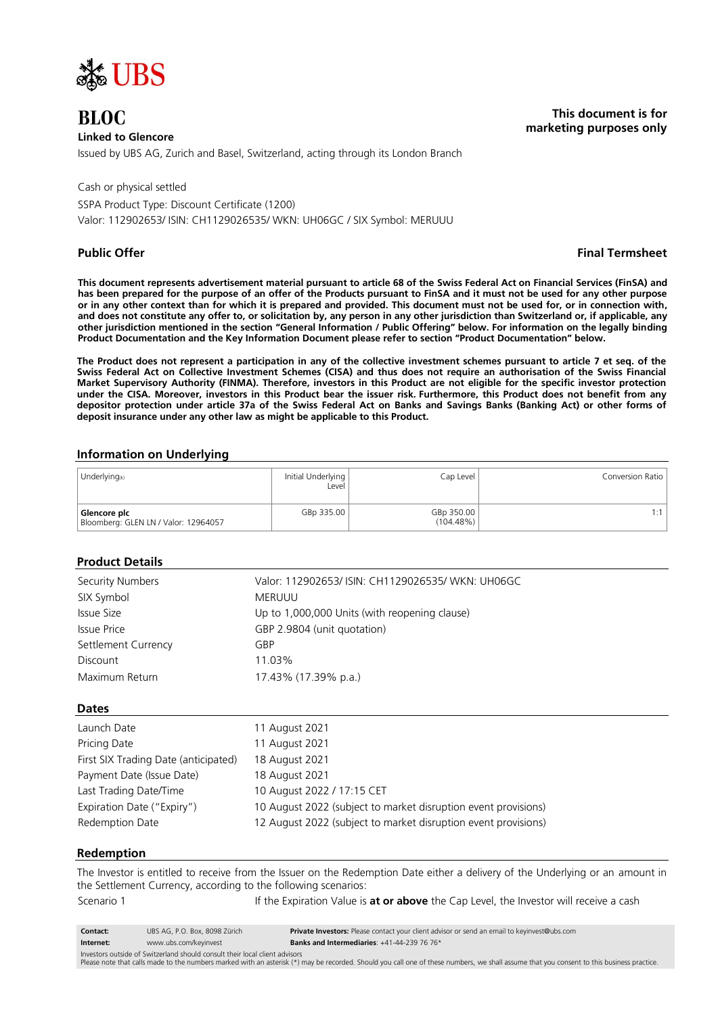

# **Linked to Glencore**

Issued by UBS AG, Zurich and Basel, Switzerland, acting through its London Branch

Cash or physical settled

SSPA Product Type: Discount Certificate (1200) Valor: 112902653/ ISIN: CH1129026535/ WKN: UH06GC / SIX Symbol: MERUUU

## **Public Offer Final Termsheet**

**BLOC This document is for marketing purposes only**

**This document represents advertisement material pursuant to article 68 of the Swiss Federal Act on Financial Services (FinSA) and has been prepared for the purpose of an offer of the Products pursuant to FinSA and it must not be used for any other purpose or in any other context than for which it is prepared and provided. This document must not be used for, or in connection with, and does not constitute any offer to, or solicitation by, any person in any other jurisdiction than Switzerland or, if applicable, any other jurisdiction mentioned in the section "General Information / Public Offering" below. For information on the legally binding Product Documentation and the Key Information Document please refer to section "Product Documentation" below.**

**The Product does not represent a participation in any of the collective investment schemes pursuant to article 7 et seq. of the Swiss Federal Act on Collective Investment Schemes (CISA) and thus does not require an authorisation of the Swiss Financial Market Supervisory Authority (FINMA). Therefore, investors in this Product are not eligible for the specific investor protection under the CISA. Moreover, investors in this Product bear the issuer risk. Furthermore, this Product does not benefit from any depositor protection under article 37a of the Swiss Federal Act on Banks and Savings Banks (Banking Act) or other forms of deposit insurance under any other law as might be applicable to this Product.**

## **Information on Underlying**

| Underlying $(k)$                                     | Initial Underlying<br>Level | Cap Level                  | Conversion Ratio I |
|------------------------------------------------------|-----------------------------|----------------------------|--------------------|
| Glencore plc<br>Bloomberg: GLEN LN / Valor: 12964057 | GBp 335.00                  | GBp 350.00<br>$(104.48\%)$ | 1 · 1              |

# **Product Details**

| Security Numbers    | Valor: 112902653/ ISIN: CH1129026535/ WKN: UH06GC |
|---------------------|---------------------------------------------------|
| SIX Symbol          | <b>MERUUU</b>                                     |
| Issue Size          | Up to 1,000,000 Units (with reopening clause)     |
| Issue Price         | GBP 2.9804 (unit quotation)                       |
| Settlement Currency | GBP                                               |
| Discount            | 11 03%                                            |
| Maximum Return      | 17.43% (17.39% p.a.)                              |

## **Dates**

| Launch Date                          | 11 August 2021                                                 |
|--------------------------------------|----------------------------------------------------------------|
| Pricing Date                         | 11 August 2021                                                 |
| First SIX Trading Date (anticipated) | 18 August 2021                                                 |
| Payment Date (Issue Date)            | 18 August 2021                                                 |
| Last Trading Date/Time               | 10 August 2022 / 17:15 CET                                     |
| Expiration Date ("Expiry")           | 10 August 2022 (subject to market disruption event provisions) |
| Redemption Date                      | 12 August 2022 (subject to market disruption event provisions) |

## **Redemption**

The Investor is entitled to receive from the Issuer on the Redemption Date either a delivery of the Underlying or an amount in the Settlement Currency, according to the following scenarios: Scenario 1 **If the Expiration Value is at or above** the Cap Level, the Investor will receive a cash

| <b>Contact:</b>                                                             | UBS AG. P.O. Box. 8098 Zürich | Private Investors: Please contact your client advisor or send an email to keyinvest@ubs.com |
|-----------------------------------------------------------------------------|-------------------------------|---------------------------------------------------------------------------------------------|
| Internet:                                                                   | www.ubs.com/keyinvest         | <b>Banks and Intermediaries:</b> $+41-44-239$ 76 76*                                        |
| Investors outside of Switzerland should sensult their local client advisors |                               |                                                                                             |

Investors outside of Switzerland should consult their local client advisors<br>Please note that calls made to the numbers marked with an asterisk (\*) may be recorded. Should you call one of these numbers, we shall assume that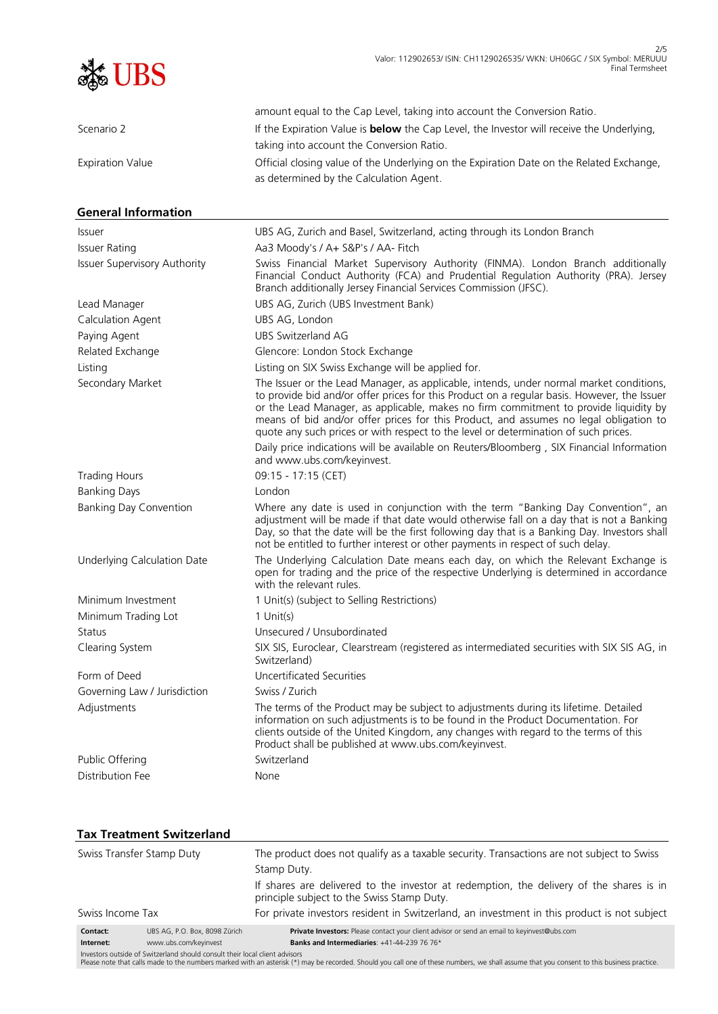

| Scenario 2<br>If the Expiration Value is <b>below</b> the Cap Level, the Investor will receive the Underlying,<br>taking into account the Conversion Ratio.<br>Official closing value of the Underlying on the Expiration Date on the Related Exchange,<br><b>Expiration Value</b><br>as determined by the Calculation Agent.<br><b>General Information</b><br>UBS AG, Zurich and Basel, Switzerland, acting through its London Branch<br><i>Issuer</i><br><b>Issuer Rating</b><br>Aa3 Moody's / A+ S&P's / AA- Fitch<br>Swiss Financial Market Supervisory Authority (FINMA). London Branch additionally<br><b>Issuer Supervisory Authority</b><br>Financial Conduct Authority (FCA) and Prudential Regulation Authority (PRA). Jersey<br>Branch additionally Jersey Financial Services Commission (JFSC).<br>UBS AG, Zurich (UBS Investment Bank)<br>Lead Manager<br>Calculation Agent<br>UBS AG, London<br>UBS Switzerland AG<br>Paying Agent<br>Related Exchange<br>Glencore: London Stock Exchange<br>Listing<br>Listing on SIX Swiss Exchange will be applied for.<br>Secondary Market<br>The Issuer or the Lead Manager, as applicable, intends, under normal market conditions,<br>to provide bid and/or offer prices for this Product on a regular basis. However, the Issuer<br>or the Lead Manager, as applicable, makes no firm commitment to provide liquidity by<br>means of bid and/or offer prices for this Product, and assumes no legal obligation to<br>quote any such prices or with respect to the level or determination of such prices.<br>Daily price indications will be available on Reuters/Bloomberg, SIX Financial Information<br>and www.ubs.com/keyinvest.<br>09:15 - 17:15 (CET)<br><b>Trading Hours</b><br><b>Banking Days</b><br>London<br>Where any date is used in conjunction with the term "Banking Day Convention", an<br><b>Banking Day Convention</b><br>adjustment will be made if that date would otherwise fall on a day that is not a Banking<br>Day, so that the date will be the first following day that is a Banking Day. Investors shall<br>not be entitled to further interest or other payments in respect of such delay.<br>The Underlying Calculation Date means each day, on which the Relevant Exchange is<br>Underlying Calculation Date<br>open for trading and the price of the respective Underlying is determined in accordance<br>with the relevant rules.<br>Minimum Investment<br>1 Unit(s) (subject to Selling Restrictions)<br>Minimum Trading Lot<br>$1$ Unit(s)<br>Unsecured / Unsubordinated<br>Status<br>SIX SIS, Euroclear, Clearstream (registered as intermediated securities with SIX SIS AG, in<br>Clearing System<br>Switzerland)<br>Uncertificated Securities<br>Form of Deed<br>Swiss / Zurich<br>Governing Law / Jurisdiction<br>The terms of the Product may be subject to adjustments during its lifetime. Detailed<br>Adjustments<br>information on such adjustments is to be found in the Product Documentation. For<br>clients outside of the United Kingdom, any changes with regard to the terms of this<br>Product shall be published at www.ubs.com/keyinvest.<br>Switzerland<br>Public Offering<br>Distribution Fee<br>None | amount equal to the Cap Level, taking into account the Conversion Ratio. |
|----------------------------------------------------------------------------------------------------------------------------------------------------------------------------------------------------------------------------------------------------------------------------------------------------------------------------------------------------------------------------------------------------------------------------------------------------------------------------------------------------------------------------------------------------------------------------------------------------------------------------------------------------------------------------------------------------------------------------------------------------------------------------------------------------------------------------------------------------------------------------------------------------------------------------------------------------------------------------------------------------------------------------------------------------------------------------------------------------------------------------------------------------------------------------------------------------------------------------------------------------------------------------------------------------------------------------------------------------------------------------------------------------------------------------------------------------------------------------------------------------------------------------------------------------------------------------------------------------------------------------------------------------------------------------------------------------------------------------------------------------------------------------------------------------------------------------------------------------------------------------------------------------------------------------------------------------------------------------------------------------------------------------------------------------------------------------------------------------------------------------------------------------------------------------------------------------------------------------------------------------------------------------------------------------------------------------------------------------------------------------------------------------------------------------------------------------------------------------------------------------------------------------------------------------------------------------------------------------------------------------------------------------------------------------------------------------------------------------------------------------------------------------------------------------------------------------------------------------------------------------------------------------------------------------------------------------------------------------------------------------------------------------------------------------------------------------------------------------------------------------------------------------------------------------------------------------------------------|--------------------------------------------------------------------------|
|                                                                                                                                                                                                                                                                                                                                                                                                                                                                                                                                                                                                                                                                                                                                                                                                                                                                                                                                                                                                                                                                                                                                                                                                                                                                                                                                                                                                                                                                                                                                                                                                                                                                                                                                                                                                                                                                                                                                                                                                                                                                                                                                                                                                                                                                                                                                                                                                                                                                                                                                                                                                                                                                                                                                                                                                                                                                                                                                                                                                                                                                                                                                                                                                                      |                                                                          |
|                                                                                                                                                                                                                                                                                                                                                                                                                                                                                                                                                                                                                                                                                                                                                                                                                                                                                                                                                                                                                                                                                                                                                                                                                                                                                                                                                                                                                                                                                                                                                                                                                                                                                                                                                                                                                                                                                                                                                                                                                                                                                                                                                                                                                                                                                                                                                                                                                                                                                                                                                                                                                                                                                                                                                                                                                                                                                                                                                                                                                                                                                                                                                                                                                      |                                                                          |
|                                                                                                                                                                                                                                                                                                                                                                                                                                                                                                                                                                                                                                                                                                                                                                                                                                                                                                                                                                                                                                                                                                                                                                                                                                                                                                                                                                                                                                                                                                                                                                                                                                                                                                                                                                                                                                                                                                                                                                                                                                                                                                                                                                                                                                                                                                                                                                                                                                                                                                                                                                                                                                                                                                                                                                                                                                                                                                                                                                                                                                                                                                                                                                                                                      |                                                                          |
|                                                                                                                                                                                                                                                                                                                                                                                                                                                                                                                                                                                                                                                                                                                                                                                                                                                                                                                                                                                                                                                                                                                                                                                                                                                                                                                                                                                                                                                                                                                                                                                                                                                                                                                                                                                                                                                                                                                                                                                                                                                                                                                                                                                                                                                                                                                                                                                                                                                                                                                                                                                                                                                                                                                                                                                                                                                                                                                                                                                                                                                                                                                                                                                                                      |                                                                          |
|                                                                                                                                                                                                                                                                                                                                                                                                                                                                                                                                                                                                                                                                                                                                                                                                                                                                                                                                                                                                                                                                                                                                                                                                                                                                                                                                                                                                                                                                                                                                                                                                                                                                                                                                                                                                                                                                                                                                                                                                                                                                                                                                                                                                                                                                                                                                                                                                                                                                                                                                                                                                                                                                                                                                                                                                                                                                                                                                                                                                                                                                                                                                                                                                                      |                                                                          |
|                                                                                                                                                                                                                                                                                                                                                                                                                                                                                                                                                                                                                                                                                                                                                                                                                                                                                                                                                                                                                                                                                                                                                                                                                                                                                                                                                                                                                                                                                                                                                                                                                                                                                                                                                                                                                                                                                                                                                                                                                                                                                                                                                                                                                                                                                                                                                                                                                                                                                                                                                                                                                                                                                                                                                                                                                                                                                                                                                                                                                                                                                                                                                                                                                      |                                                                          |
|                                                                                                                                                                                                                                                                                                                                                                                                                                                                                                                                                                                                                                                                                                                                                                                                                                                                                                                                                                                                                                                                                                                                                                                                                                                                                                                                                                                                                                                                                                                                                                                                                                                                                                                                                                                                                                                                                                                                                                                                                                                                                                                                                                                                                                                                                                                                                                                                                                                                                                                                                                                                                                                                                                                                                                                                                                                                                                                                                                                                                                                                                                                                                                                                                      |                                                                          |
|                                                                                                                                                                                                                                                                                                                                                                                                                                                                                                                                                                                                                                                                                                                                                                                                                                                                                                                                                                                                                                                                                                                                                                                                                                                                                                                                                                                                                                                                                                                                                                                                                                                                                                                                                                                                                                                                                                                                                                                                                                                                                                                                                                                                                                                                                                                                                                                                                                                                                                                                                                                                                                                                                                                                                                                                                                                                                                                                                                                                                                                                                                                                                                                                                      |                                                                          |
|                                                                                                                                                                                                                                                                                                                                                                                                                                                                                                                                                                                                                                                                                                                                                                                                                                                                                                                                                                                                                                                                                                                                                                                                                                                                                                                                                                                                                                                                                                                                                                                                                                                                                                                                                                                                                                                                                                                                                                                                                                                                                                                                                                                                                                                                                                                                                                                                                                                                                                                                                                                                                                                                                                                                                                                                                                                                                                                                                                                                                                                                                                                                                                                                                      |                                                                          |
|                                                                                                                                                                                                                                                                                                                                                                                                                                                                                                                                                                                                                                                                                                                                                                                                                                                                                                                                                                                                                                                                                                                                                                                                                                                                                                                                                                                                                                                                                                                                                                                                                                                                                                                                                                                                                                                                                                                                                                                                                                                                                                                                                                                                                                                                                                                                                                                                                                                                                                                                                                                                                                                                                                                                                                                                                                                                                                                                                                                                                                                                                                                                                                                                                      |                                                                          |
|                                                                                                                                                                                                                                                                                                                                                                                                                                                                                                                                                                                                                                                                                                                                                                                                                                                                                                                                                                                                                                                                                                                                                                                                                                                                                                                                                                                                                                                                                                                                                                                                                                                                                                                                                                                                                                                                                                                                                                                                                                                                                                                                                                                                                                                                                                                                                                                                                                                                                                                                                                                                                                                                                                                                                                                                                                                                                                                                                                                                                                                                                                                                                                                                                      |                                                                          |
|                                                                                                                                                                                                                                                                                                                                                                                                                                                                                                                                                                                                                                                                                                                                                                                                                                                                                                                                                                                                                                                                                                                                                                                                                                                                                                                                                                                                                                                                                                                                                                                                                                                                                                                                                                                                                                                                                                                                                                                                                                                                                                                                                                                                                                                                                                                                                                                                                                                                                                                                                                                                                                                                                                                                                                                                                                                                                                                                                                                                                                                                                                                                                                                                                      |                                                                          |
|                                                                                                                                                                                                                                                                                                                                                                                                                                                                                                                                                                                                                                                                                                                                                                                                                                                                                                                                                                                                                                                                                                                                                                                                                                                                                                                                                                                                                                                                                                                                                                                                                                                                                                                                                                                                                                                                                                                                                                                                                                                                                                                                                                                                                                                                                                                                                                                                                                                                                                                                                                                                                                                                                                                                                                                                                                                                                                                                                                                                                                                                                                                                                                                                                      |                                                                          |
|                                                                                                                                                                                                                                                                                                                                                                                                                                                                                                                                                                                                                                                                                                                                                                                                                                                                                                                                                                                                                                                                                                                                                                                                                                                                                                                                                                                                                                                                                                                                                                                                                                                                                                                                                                                                                                                                                                                                                                                                                                                                                                                                                                                                                                                                                                                                                                                                                                                                                                                                                                                                                                                                                                                                                                                                                                                                                                                                                                                                                                                                                                                                                                                                                      |                                                                          |
|                                                                                                                                                                                                                                                                                                                                                                                                                                                                                                                                                                                                                                                                                                                                                                                                                                                                                                                                                                                                                                                                                                                                                                                                                                                                                                                                                                                                                                                                                                                                                                                                                                                                                                                                                                                                                                                                                                                                                                                                                                                                                                                                                                                                                                                                                                                                                                                                                                                                                                                                                                                                                                                                                                                                                                                                                                                                                                                                                                                                                                                                                                                                                                                                                      |                                                                          |
|                                                                                                                                                                                                                                                                                                                                                                                                                                                                                                                                                                                                                                                                                                                                                                                                                                                                                                                                                                                                                                                                                                                                                                                                                                                                                                                                                                                                                                                                                                                                                                                                                                                                                                                                                                                                                                                                                                                                                                                                                                                                                                                                                                                                                                                                                                                                                                                                                                                                                                                                                                                                                                                                                                                                                                                                                                                                                                                                                                                                                                                                                                                                                                                                                      |                                                                          |
|                                                                                                                                                                                                                                                                                                                                                                                                                                                                                                                                                                                                                                                                                                                                                                                                                                                                                                                                                                                                                                                                                                                                                                                                                                                                                                                                                                                                                                                                                                                                                                                                                                                                                                                                                                                                                                                                                                                                                                                                                                                                                                                                                                                                                                                                                                                                                                                                                                                                                                                                                                                                                                                                                                                                                                                                                                                                                                                                                                                                                                                                                                                                                                                                                      |                                                                          |
|                                                                                                                                                                                                                                                                                                                                                                                                                                                                                                                                                                                                                                                                                                                                                                                                                                                                                                                                                                                                                                                                                                                                                                                                                                                                                                                                                                                                                                                                                                                                                                                                                                                                                                                                                                                                                                                                                                                                                                                                                                                                                                                                                                                                                                                                                                                                                                                                                                                                                                                                                                                                                                                                                                                                                                                                                                                                                                                                                                                                                                                                                                                                                                                                                      |                                                                          |
|                                                                                                                                                                                                                                                                                                                                                                                                                                                                                                                                                                                                                                                                                                                                                                                                                                                                                                                                                                                                                                                                                                                                                                                                                                                                                                                                                                                                                                                                                                                                                                                                                                                                                                                                                                                                                                                                                                                                                                                                                                                                                                                                                                                                                                                                                                                                                                                                                                                                                                                                                                                                                                                                                                                                                                                                                                                                                                                                                                                                                                                                                                                                                                                                                      |                                                                          |
|                                                                                                                                                                                                                                                                                                                                                                                                                                                                                                                                                                                                                                                                                                                                                                                                                                                                                                                                                                                                                                                                                                                                                                                                                                                                                                                                                                                                                                                                                                                                                                                                                                                                                                                                                                                                                                                                                                                                                                                                                                                                                                                                                                                                                                                                                                                                                                                                                                                                                                                                                                                                                                                                                                                                                                                                                                                                                                                                                                                                                                                                                                                                                                                                                      |                                                                          |
|                                                                                                                                                                                                                                                                                                                                                                                                                                                                                                                                                                                                                                                                                                                                                                                                                                                                                                                                                                                                                                                                                                                                                                                                                                                                                                                                                                                                                                                                                                                                                                                                                                                                                                                                                                                                                                                                                                                                                                                                                                                                                                                                                                                                                                                                                                                                                                                                                                                                                                                                                                                                                                                                                                                                                                                                                                                                                                                                                                                                                                                                                                                                                                                                                      |                                                                          |
|                                                                                                                                                                                                                                                                                                                                                                                                                                                                                                                                                                                                                                                                                                                                                                                                                                                                                                                                                                                                                                                                                                                                                                                                                                                                                                                                                                                                                                                                                                                                                                                                                                                                                                                                                                                                                                                                                                                                                                                                                                                                                                                                                                                                                                                                                                                                                                                                                                                                                                                                                                                                                                                                                                                                                                                                                                                                                                                                                                                                                                                                                                                                                                                                                      |                                                                          |
|                                                                                                                                                                                                                                                                                                                                                                                                                                                                                                                                                                                                                                                                                                                                                                                                                                                                                                                                                                                                                                                                                                                                                                                                                                                                                                                                                                                                                                                                                                                                                                                                                                                                                                                                                                                                                                                                                                                                                                                                                                                                                                                                                                                                                                                                                                                                                                                                                                                                                                                                                                                                                                                                                                                                                                                                                                                                                                                                                                                                                                                                                                                                                                                                                      |                                                                          |
|                                                                                                                                                                                                                                                                                                                                                                                                                                                                                                                                                                                                                                                                                                                                                                                                                                                                                                                                                                                                                                                                                                                                                                                                                                                                                                                                                                                                                                                                                                                                                                                                                                                                                                                                                                                                                                                                                                                                                                                                                                                                                                                                                                                                                                                                                                                                                                                                                                                                                                                                                                                                                                                                                                                                                                                                                                                                                                                                                                                                                                                                                                                                                                                                                      |                                                                          |
|                                                                                                                                                                                                                                                                                                                                                                                                                                                                                                                                                                                                                                                                                                                                                                                                                                                                                                                                                                                                                                                                                                                                                                                                                                                                                                                                                                                                                                                                                                                                                                                                                                                                                                                                                                                                                                                                                                                                                                                                                                                                                                                                                                                                                                                                                                                                                                                                                                                                                                                                                                                                                                                                                                                                                                                                                                                                                                                                                                                                                                                                                                                                                                                                                      |                                                                          |
|                                                                                                                                                                                                                                                                                                                                                                                                                                                                                                                                                                                                                                                                                                                                                                                                                                                                                                                                                                                                                                                                                                                                                                                                                                                                                                                                                                                                                                                                                                                                                                                                                                                                                                                                                                                                                                                                                                                                                                                                                                                                                                                                                                                                                                                                                                                                                                                                                                                                                                                                                                                                                                                                                                                                                                                                                                                                                                                                                                                                                                                                                                                                                                                                                      |                                                                          |
|                                                                                                                                                                                                                                                                                                                                                                                                                                                                                                                                                                                                                                                                                                                                                                                                                                                                                                                                                                                                                                                                                                                                                                                                                                                                                                                                                                                                                                                                                                                                                                                                                                                                                                                                                                                                                                                                                                                                                                                                                                                                                                                                                                                                                                                                                                                                                                                                                                                                                                                                                                                                                                                                                                                                                                                                                                                                                                                                                                                                                                                                                                                                                                                                                      |                                                                          |
|                                                                                                                                                                                                                                                                                                                                                                                                                                                                                                                                                                                                                                                                                                                                                                                                                                                                                                                                                                                                                                                                                                                                                                                                                                                                                                                                                                                                                                                                                                                                                                                                                                                                                                                                                                                                                                                                                                                                                                                                                                                                                                                                                                                                                                                                                                                                                                                                                                                                                                                                                                                                                                                                                                                                                                                                                                                                                                                                                                                                                                                                                                                                                                                                                      |                                                                          |

# **Tax Treatment Switzerland**

| Swiss Transfer Stamp Duty |                                                                             | The product does not qualify as a taxable security. Transactions are not subject to Swiss                                                                                                 |  |  |
|---------------------------|-----------------------------------------------------------------------------|-------------------------------------------------------------------------------------------------------------------------------------------------------------------------------------------|--|--|
|                           |                                                                             | Stamp Duty.                                                                                                                                                                               |  |  |
|                           |                                                                             | If shares are delivered to the investor at redemption, the delivery of the shares is in<br>principle subject to the Swiss Stamp Duty.                                                     |  |  |
| Swiss Income Tax          |                                                                             | For private investors resident in Switzerland, an investment in this product is not subject                                                                                               |  |  |
| Contact:                  | UBS AG, P.O. Box, 8098 Zürich                                               | Private Investors: Please contact your client advisor or send an email to keyinvest@ubs.com                                                                                               |  |  |
| Internet:                 | www.ubs.com/keyinvest                                                       | Banks and Intermediaries: +41-44-239 76 76*                                                                                                                                               |  |  |
|                           | Investors outside of Switzerland should consult their local client advisors | Please note that calls made to the numbers marked with an asterisk (*) may be recorded. Should you call one of these numbers, we shall assume that you consent to this business practice. |  |  |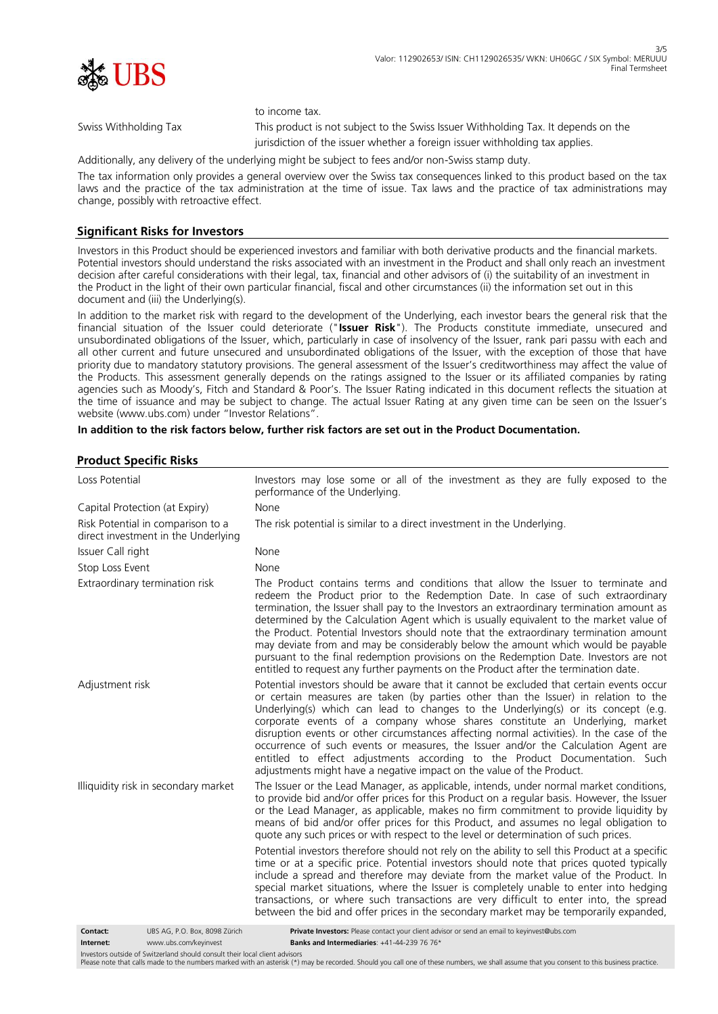

to income tax.

Swiss Withholding Tax This product is not subject to the Swiss Issuer Withholding Tax. It depends on the jurisdiction of the issuer whether a foreign issuer withholding tax applies.

Additionally, any delivery of the underlying might be subject to fees and/or non-Swiss stamp duty.

The tax information only provides a general overview over the Swiss tax consequences linked to this product based on the tax laws and the practice of the tax administration at the time of issue. Tax laws and the practice of tax administrations may change, possibly with retroactive effect.

# **Significant Risks for Investors**

Investors in this Product should be experienced investors and familiar with both derivative products and the financial markets. Potential investors should understand the risks associated with an investment in the Product and shall only reach an investment decision after careful considerations with their legal, tax, financial and other advisors of (i) the suitability of an investment in the Product in the light of their own particular financial, fiscal and other circumstances (ii) the information set out in this document and (iii) the Underlying(s).

In addition to the market risk with regard to the development of the Underlying, each investor bears the general risk that the financial situation of the Issuer could deteriorate ("**Issuer Risk**"). The Products constitute immediate, unsecured and unsubordinated obligations of the Issuer, which, particularly in case of insolvency of the Issuer, rank pari passu with each and all other current and future unsecured and unsubordinated obligations of the Issuer, with the exception of those that have priority due to mandatory statutory provisions. The general assessment of the Issuer's creditworthiness may affect the value of the Products. This assessment generally depends on the ratings assigned to the Issuer or its affiliated companies by rating agencies such as Moody's, Fitch and Standard & Poor's. The Issuer Rating indicated in this document reflects the situation at the time of issuance and may be subject to change. The actual Issuer Rating at any given time can be seen on the Issuer's website (www.ubs.com) under "Investor Relations".

#### **In addition to the risk factors below, further risk factors are set out in the Product Documentation.**

## **Product Specific Risks**

| Loss Potential                                                                                                                                                 | Investors may lose some or all of the investment as they are fully exposed to the<br>performance of the Underlying.                                                                                                                                                                                                                                                                                                                                                                                                                                                                                                                                                                                                     |
|----------------------------------------------------------------------------------------------------------------------------------------------------------------|-------------------------------------------------------------------------------------------------------------------------------------------------------------------------------------------------------------------------------------------------------------------------------------------------------------------------------------------------------------------------------------------------------------------------------------------------------------------------------------------------------------------------------------------------------------------------------------------------------------------------------------------------------------------------------------------------------------------------|
| Capital Protection (at Expiry)                                                                                                                                 | None                                                                                                                                                                                                                                                                                                                                                                                                                                                                                                                                                                                                                                                                                                                    |
| Risk Potential in comparison to a<br>direct investment in the Underlying                                                                                       | The risk potential is similar to a direct investment in the Underlying.                                                                                                                                                                                                                                                                                                                                                                                                                                                                                                                                                                                                                                                 |
| Issuer Call right                                                                                                                                              | None                                                                                                                                                                                                                                                                                                                                                                                                                                                                                                                                                                                                                                                                                                                    |
| Stop Loss Event                                                                                                                                                | None                                                                                                                                                                                                                                                                                                                                                                                                                                                                                                                                                                                                                                                                                                                    |
| Extraordinary termination risk                                                                                                                                 | The Product contains terms and conditions that allow the Issuer to terminate and<br>redeem the Product prior to the Redemption Date. In case of such extraordinary<br>termination, the Issuer shall pay to the Investors an extraordinary termination amount as<br>determined by the Calculation Agent which is usually equivalent to the market value of<br>the Product. Potential Investors should note that the extraordinary termination amount<br>may deviate from and may be considerably below the amount which would be payable<br>pursuant to the final redemption provisions on the Redemption Date. Investors are not<br>entitled to request any further payments on the Product after the termination date. |
| Adjustment risk                                                                                                                                                | Potential investors should be aware that it cannot be excluded that certain events occur<br>or certain measures are taken (by parties other than the Issuer) in relation to the<br>Underlying(s) which can lead to changes to the Underlying(s) or its concept (e.g.<br>corporate events of a company whose shares constitute an Underlying, market<br>disruption events or other circumstances affecting normal activities). In the case of the<br>occurrence of such events or measures, the Issuer and/or the Calculation Agent are<br>entitled to effect adjustments according to the Product Documentation. Such<br>adjustments might have a negative impact on the value of the Product.                          |
| Illiquidity risk in secondary market                                                                                                                           | The Issuer or the Lead Manager, as applicable, intends, under normal market conditions,<br>to provide bid and/or offer prices for this Product on a regular basis. However, the Issuer<br>or the Lead Manager, as applicable, makes no firm commitment to provide liquidity by<br>means of bid and/or offer prices for this Product, and assumes no legal obligation to<br>quote any such prices or with respect to the level or determination of such prices.                                                                                                                                                                                                                                                          |
|                                                                                                                                                                | Potential investors therefore should not rely on the ability to sell this Product at a specific<br>time or at a specific price. Potential investors should note that prices quoted typically<br>include a spread and therefore may deviate from the market value of the Product. In<br>special market situations, where the Issuer is completely unable to enter into hedging<br>transactions, or where such transactions are very difficult to enter into, the spread<br>between the bid and offer prices in the secondary market may be temporarily expanded,                                                                                                                                                         |
| Contact:<br>UBS AG, P.O. Box, 8098 Zürich<br>www.ubs.com/keyinvest<br>Internet:<br>Investors outside of Switzerland should consult their local client advisors | Private Investors: Please contact your client advisor or send an email to keyinvest@ubs.com<br>Banks and Intermediaries: +41-44-239 76 76*                                                                                                                                                                                                                                                                                                                                                                                                                                                                                                                                                                              |

Please note that calls made to the numbers marked with an asterisk (\*) may be recorded. Should you call one of these numbers, we shall assume that you consent to this business practice.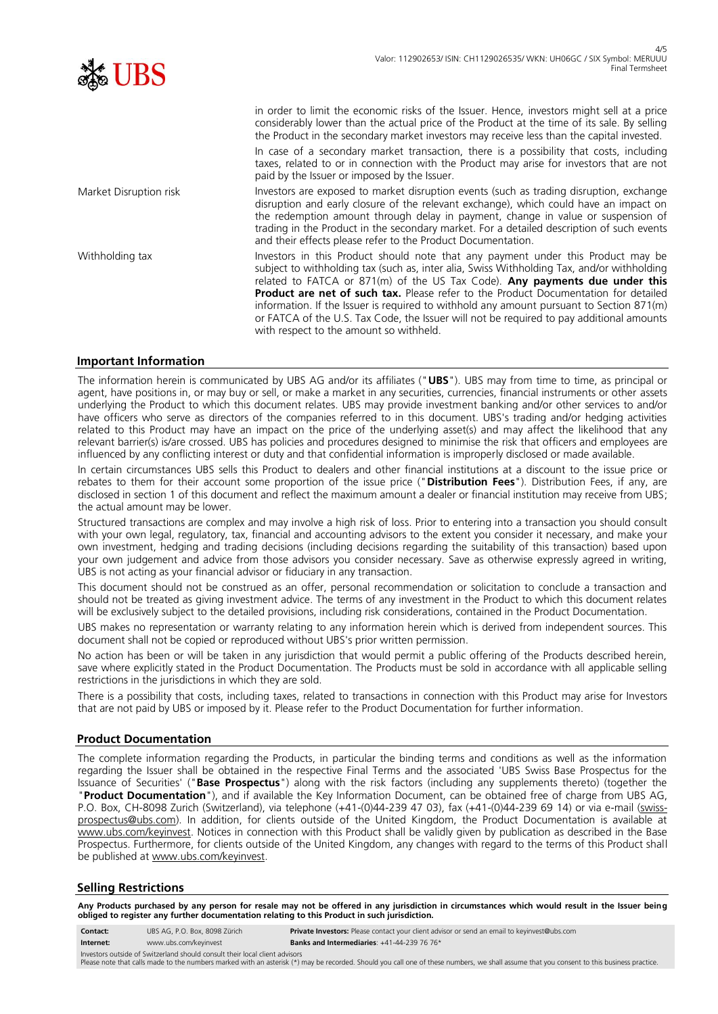| v.<br>◢<br>۰ |  |
|--------------|--|
|              |  |
| 86±19        |  |

in order to limit the economic risks of the Issuer. Hence, investors might sell at a price considerably lower than the actual price of the Product at the time of its sale. By selling the Product in the secondary market investors may receive less than the capital invested.

In case of a secondary market transaction, there is a possibility that costs, including taxes, related to or in connection with the Product may arise for investors that are not paid by the Issuer or imposed by the Issuer.

Market Disruption risk Investors are exposed to market disruption events (such as trading disruption, exchange disruption and early closure of the relevant exchange), which could have an impact on the redemption amount through delay in payment, change in value or suspension of trading in the Product in the secondary market. For a detailed description of such events and their effects please refer to the Product Documentation.

Withholding tax Investors in this Product should note that any payment under this Product may be subject to withholding tax (such as, inter alia, Swiss Withholding Tax, and/or withholding related to FATCA or 871(m) of the US Tax Code). **Any payments due under this Product are net of such tax.** Please refer to the Product Documentation for detailed information. If the Issuer is required to withhold any amount pursuant to Section 871(m) or FATCA of the U.S. Tax Code, the Issuer will not be required to pay additional amounts with respect to the amount so withheld.

## **Important Information**

The information herein is communicated by UBS AG and/or its affiliates ("**UBS**"). UBS may from time to time, as principal or agent, have positions in, or may buy or sell, or make a market in any securities, currencies, financial instruments or other assets underlying the Product to which this document relates. UBS may provide investment banking and/or other services to and/or have officers who serve as directors of the companies referred to in this document. UBS's trading and/or hedging activities related to this Product may have an impact on the price of the underlying asset(s) and may affect the likelihood that any relevant barrier(s) is/are crossed. UBS has policies and procedures designed to minimise the risk that officers and employees are influenced by any conflicting interest or duty and that confidential information is improperly disclosed or made available.

In certain circumstances UBS sells this Product to dealers and other financial institutions at a discount to the issue price or rebates to them for their account some proportion of the issue price ("**Distribution Fees**"). Distribution Fees, if any, are disclosed in section 1 of this document and reflect the maximum amount a dealer or financial institution may receive from UBS; the actual amount may be lower.

Structured transactions are complex and may involve a high risk of loss. Prior to entering into a transaction you should consult with your own legal, regulatory, tax, financial and accounting advisors to the extent you consider it necessary, and make your own investment, hedging and trading decisions (including decisions regarding the suitability of this transaction) based upon your own judgement and advice from those advisors you consider necessary. Save as otherwise expressly agreed in writing, UBS is not acting as your financial advisor or fiduciary in any transaction.

This document should not be construed as an offer, personal recommendation or solicitation to conclude a transaction and should not be treated as giving investment advice. The terms of any investment in the Product to which this document relates will be exclusively subject to the detailed provisions, including risk considerations, contained in the Product Documentation.

UBS makes no representation or warranty relating to any information herein which is derived from independent sources. This document shall not be copied or reproduced without UBS's prior written permission.

No action has been or will be taken in any jurisdiction that would permit a public offering of the Products described herein, save where explicitly stated in the Product Documentation. The Products must be sold in accordance with all applicable selling restrictions in the jurisdictions in which they are sold.

There is a possibility that costs, including taxes, related to transactions in connection with this Product may arise for Investors that are not paid by UBS or imposed by it. Please refer to the Product Documentation for further information.

## **Product Documentation**

The complete information regarding the Products, in particular the binding terms and conditions as well as the information regarding the Issuer shall be obtained in the respective Final Terms and the associated 'UBS Swiss Base Prospectus for the Issuance of Securities' ("**Base Prospectus**") along with the risk factors (including any supplements thereto) (together the "**Product Documentation**"), and if available the Key Information Document, can be obtained free of charge from UBS AG, P.O. Box, CH-8098 Zurich (Switzerland), via telephone (+41-(0)44-239 47 03), fax (+41-(0)44-239 69 14) or via e-mail (swissprospectus@ubs.com). In addition, for clients outside of the United Kingdom, the Product Documentation is available at www.ubs.com/keyinvest. Notices in connection with this Product shall be validly given by publication as described in the Base Prospectus. Furthermore, for clients outside of the United Kingdom, any changes with regard to the terms of this Product shall be published at www.ubs.com/keyinvest.

## **Selling Restrictions**

**Any Products purchased by any person for resale may not be offered in any jurisdiction in circumstances which would result in the Issuer being obliged to register any further documentation relating to this Product in such jurisdiction.**

- **Contact:** UBS AG, P.O. Box, 8098 Zürich **Private Investors:** Please contact your client advisor or send an email to keyinvest@ubs.com
- **Internet:** www.ubs.com/keyinvest **Banks and Intermediaries**: +41-44-239 76 76\* Investors outside of Switzerland should consult their local client advisors

Please note that calls made to the numbers marked with an asterisk (\*) may be recorded. Should you call one of these numbers, we shall assume that you consent to this business practice.